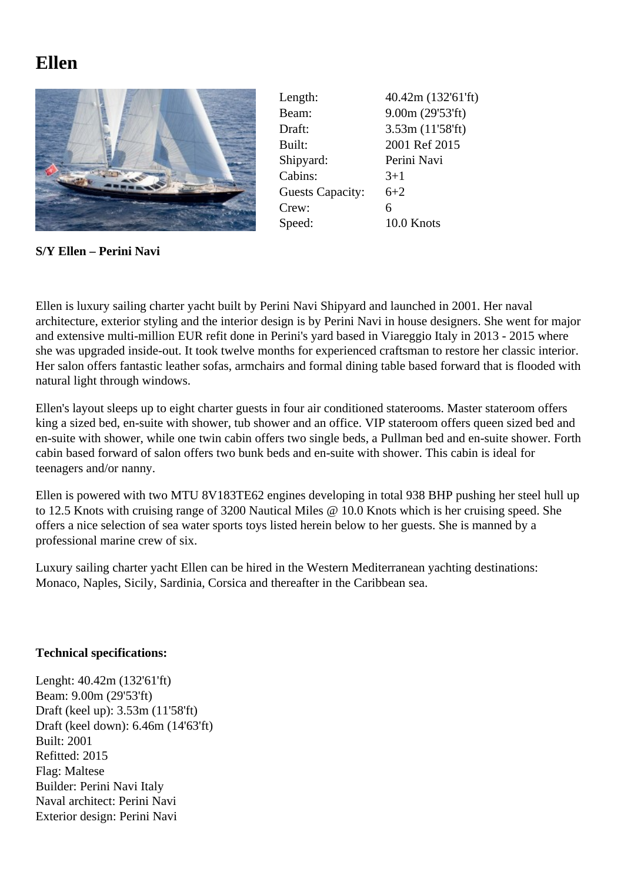## **Ellen**



| Length:                 | 40.42m (132'61'ft) |
|-------------------------|--------------------|
| Beam:                   | 9.00m(29'53'ft)    |
| Draft:                  | 3.53m (11'58'ft)   |
| Built:                  | 2001 Ref 2015      |
| Shipyard:               | Perini Navi        |
| Cabins:                 | $3+1$              |
| <b>Guests Capacity:</b> | $6+2$              |
| Crew:                   | 6                  |
| Speed:                  | 10.0 Knots         |

**S/Y Ellen – Perini Navi**

Ellen is luxury sailing charter yacht built by Perini Navi Shipyard and launched in 2001. Her naval architecture, exterior styling and the interior design is by Perini Navi in house designers. She went for major and extensive multi-million EUR refit done in Perini's yard based in Viareggio Italy in 2013 - 2015 where she was upgraded inside-out. It took twelve months for experienced craftsman to restore her classic interior. Her salon offers fantastic leather sofas, armchairs and formal dining table based forward that is flooded with natural light through windows.

Ellen's layout sleeps up to eight charter guests in four air conditioned staterooms. Master stateroom offers king a sized bed, en-suite with shower, tub shower and an office. VIP stateroom offers queen sized bed and en-suite with shower, while one twin cabin offers two single beds, a Pullman bed and en-suite shower. Forth cabin based forward of salon offers two bunk beds and en-suite with shower. This cabin is ideal for teenagers and/or nanny.

Ellen is powered with two MTU 8V183TE62 engines developing in total 938 BHP pushing her steel hull up to 12.5 Knots with cruising range of 3200 Nautical Miles @ 10.0 Knots which is her cruising speed. She offers a nice selection of sea water sports toys listed herein below to her guests. She is manned by a professional marine crew of six.

Luxury sailing charter yacht Ellen can be hired in the Western Mediterranean yachting destinations: Monaco, Naples, Sicily, Sardinia, Corsica and thereafter in the Caribbean sea.

## **Technical specifications:**

Lenght: 40.42m (132'61'ft) Beam: 9.00m (29'53'ft) Draft (keel up): 3.53m (11'58'ft) Draft (keel down): 6.46m (14'63'ft) Built: 2001 Refitted: 2015 Flag: Maltese Builder: Perini Navi Italy Naval architect: Perini Navi Exterior design: Perini Navi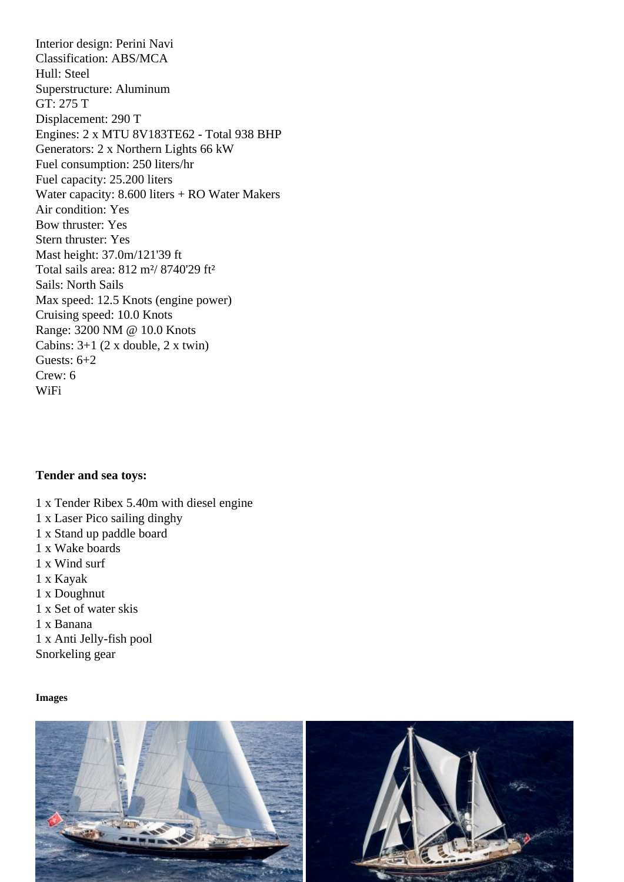Classification: ABS/MCA Hull: Steel Superstructure: Aluminum GT: 275 T Displacement: 290 T Engines: 2 x MTU 8V183TE62 - Total 938 BHP Generators: 2 x Northern Lights 66 kW Fuel consumption: 250 liters/hr Fuel capacity: 25.200 liters Water capacity: 8.600 liters + RO Water Makers Air condition: Yes Bow thruster: Yes Stern thruster: Yes Mast height: 37.0m/121'39 ft Total sails area: 812 m²/ 8740'29 ft² Sails: North Sails Max speed: 12.5 Knots (engine power) Cruising speed: 10.0 Knots Range: 3200 NM @ 10.0 Knots Cabins: 3+1 (2 x double, 2 x twin) Guests: 6+2 Crew: 6 WiFi

Tender and sea toys:

- 1 x Tender Ribex 5.40m with diesel engine
- 1 x Laser Pico sailing dinghy
- 1 x Stand up paddle board
- 1 x Wake boards
- 1 x Wind surf
- 1 x Kayak
- 1 x Doughnut
- 1 x Set of water skis

1 x Banana

1 x Anti Jelly-fish pool

Snorkeling gear

Images